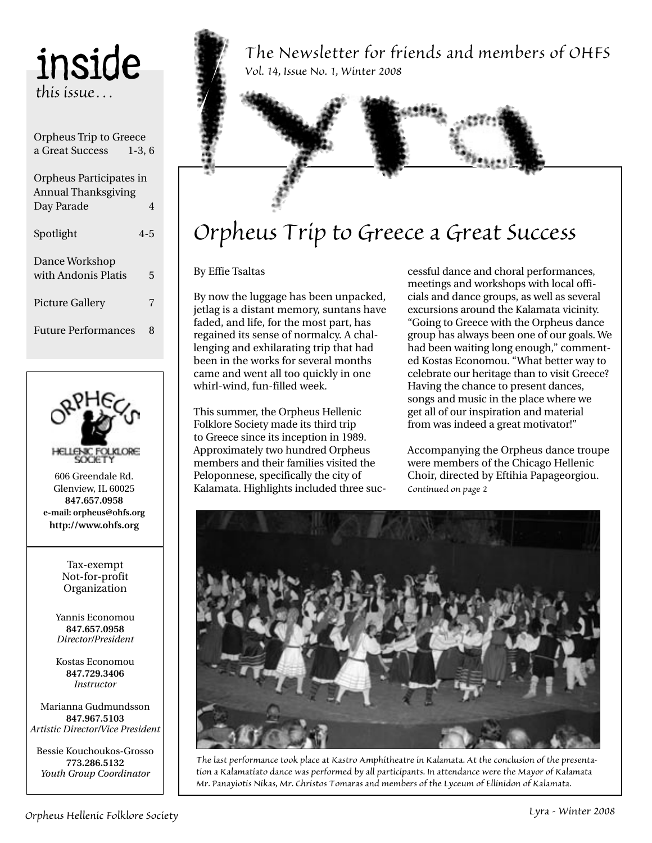inside *this issue…*

| Orpheus Trip to Greece     |          |
|----------------------------|----------|
| a Great Success            | $1-3, 6$ |
|                            |          |
| Orpheus Participates in    |          |
| <b>Annual Thanksgiving</b> |          |
| Day Parade                 | 4        |
|                            |          |
| Spotlight                  | $4 - 5$  |
|                            |          |
| Dance Workshop             |          |
| with Andonis Platis        | 5        |
|                            |          |
| <b>Picture Gallery</b>     | 7        |
|                            |          |
| <b>Future Performances</b> | 8        |
|                            |          |



606 Greendale Rd. Glenview, IL 60025 **847.657.0958 e-mail: orpheus@ohfs.org http://www.ohfs.org**

Tax-exempt Not-for-profit Organization

Yannis Economou **847.657.0958** *Director/President*

Kostas Economou **847.729.3406** *Instructor*

Marianna Gudmundsson **847.967.5103** *Artistic Director/Vice President*

Bessie Kouchoukos-Grosso **773.286.5132** *Youth Group Coordinator*

*The Newsletter for friends and members of OHFS Vol. 14, Issue No. 1, Winter 2008*

## *Orpheus Trip to Greece a Great Success*

By Effie Tsaltas

By now the luggage has been unpacked, jetlag is a distant memory, suntans have faded, and life, for the most part, has regained its sense of normalcy. A challenging and exhilarating trip that had been in the works for several months came and went all too quickly in one whirl-wind, fun-filled week.

This summer, the Orpheus Hellenic Folklore Society made its third trip to Greece since its inception in 1989. Approximately two hundred Orpheus members and their families visited the Peloponnese, specifically the city of Kalamata. Highlights included three suc-

cessful dance and choral performances, meetings and workshops with local officials and dance groups, as well as several excursions around the Kalamata vicinity. "Going to Greece with the Orpheus dance group has always been one of our goals. We had been waiting long enough," commented Kostas Economou. "What better way to celebrate our heritage than to visit Greece? Having the chance to present dances, songs and music in the place where we get all of our inspiration and material from was indeed a great motivator!"

Accompanying the Orpheus dance troupe were members of the Chicago Hellenic Choir, directed by Eftihia Papageorgiou. *Continued on page 2*



*The last performance took place at Kastro Amphitheatre in Kalamata. At the conclusion of the presentation a Kalamatiato dance was performed by all participants. In attendance were the Mayor of Kalamata Mr. Panayiotis Nikas, Mr. Christos Tomaras and members of the Lyceum of Ellinidon of Kalamata.*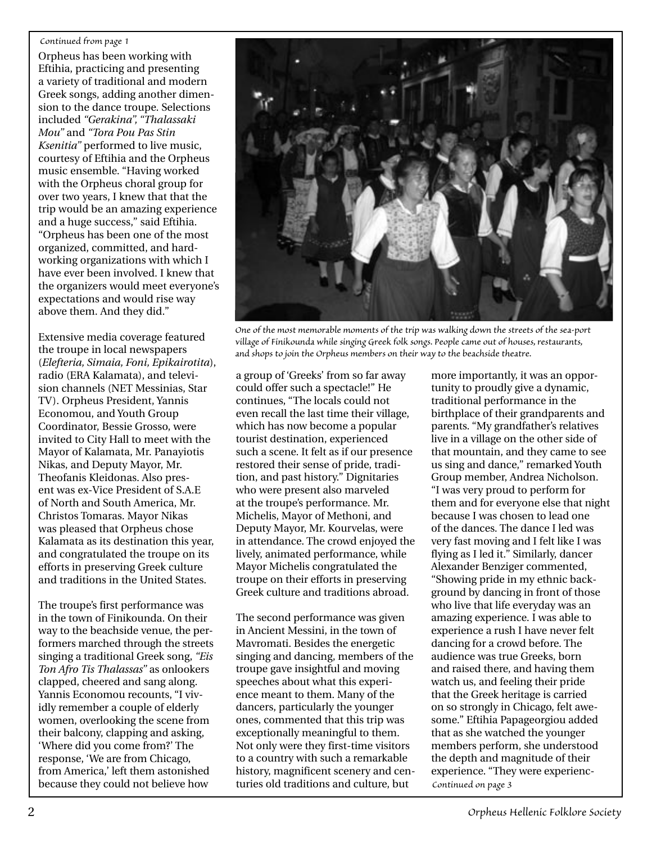#### *Continued from page 1*

Orpheus has been working with Eftihia, practicing and presenting a variety of traditional and modern Greek songs, adding another dimension to the dance troupe. Selections included *"Gerakina", "Thalassaki Mou"* and *"Tora Pou Pas Stin Ksenitia"* performed to live music, courtesy of Eftihia and the Orpheus music ensemble. "Having worked with the Orpheus choral group for over two years, I knew that that the trip would be an amazing experience and a huge success," said Eftihia. "Orpheus has been one of the most organized, committed, and hardworking organizations with which I have ever been involved. I knew that the organizers would meet everyone's expectations and would rise way above them. And they did."

Extensive media coverage featured the troupe in local newspapers (*Elefteria, Simaia, Foni, Epikairotita*), radio (ERA Kalamata), and television channels (NET Messinias, Star TV). Orpheus President, Yannis Economou, and Youth Group Coordinator, Bessie Grosso, were invited to City Hall to meet with the Mayor of Kalamata, Mr. Panayiotis Nikas, and Deputy Mayor, Mr. Theofanis Kleidonas. Also present was ex-Vice President of S.A.E of North and South America, Mr. Christos Tomaras. Mayor Nikas was pleased that Orpheus chose Kalamata as its destination this year, and congratulated the troupe on its efforts in preserving Greek culture and traditions in the United States.

The troupe's first performance was in the town of Finikounda. On their way to the beachside venue, the performers marched through the streets singing a traditional Greek song, *"Eis Ton Afro Tis Thalassas"* as onlookers clapped, cheered and sang along. Yannis Economou recounts, "I vividly remember a couple of elderly women, overlooking the scene from their balcony, clapping and asking, 'Where did you come from?' The response, 'We are from Chicago, from America,' left them astonished because they could not believe how



*One of the most memorable moments of the trip was walking down the streets of the sea-port village of Finikounda while singing Greek folk songs. People came out of houses, restaurants, and shops to join the Orpheus members on their way to the beachside theatre.*

a group of 'Greeks' from so far away could offer such a spectacle!" He continues, "The locals could not even recall the last time their village, which has now become a popular tourist destination, experienced such a scene. It felt as if our presence restored their sense of pride, tradition, and past history." Dignitaries who were present also marveled at the troupe's performance. Mr. Michelis, Mayor of Methoni, and Deputy Mayor, Mr. Kourvelas, were in attendance. The crowd enjoyed the lively, animated performance, while Mayor Michelis congratulated the troupe on their efforts in preserving Greek culture and traditions abroad.

The second performance was given in Ancient Messini, in the town of Mavromati. Besides the energetic singing and dancing, members of the troupe gave insightful and moving speeches about what this experience meant to them. Many of the dancers, particularly the younger ones, commented that this trip was exceptionally meaningful to them. Not only were they first-time visitors to a country with such a remarkable history, magnificent scenery and centuries old traditions and culture, but

more importantly, it was an opportunity to proudly give a dynamic, traditional performance in the birthplace of their grandparents and parents. "My grandfather's relatives live in a village on the other side of that mountain, and they came to see us sing and dance," remarked Youth Group member, Andrea Nicholson. "I was very proud to perform for them and for everyone else that night because I was chosen to lead one of the dances. The dance I led was very fast moving and I felt like I was flying as I led it." Similarly, dancer Alexander Benziger commented, "Showing pride in my ethnic background by dancing in front of those who live that life everyday was an amazing experience. I was able to experience a rush I have never felt dancing for a crowd before. The audience was true Greeks, born and raised there, and having them watch us, and feeling their pride that the Greek heritage is carried on so strongly in Chicago, felt awesome." Eftihia Papageorgiou added that as she watched the younger members perform, she understood the depth and magnitude of their experience. "They were experienc-*Continued on page 3*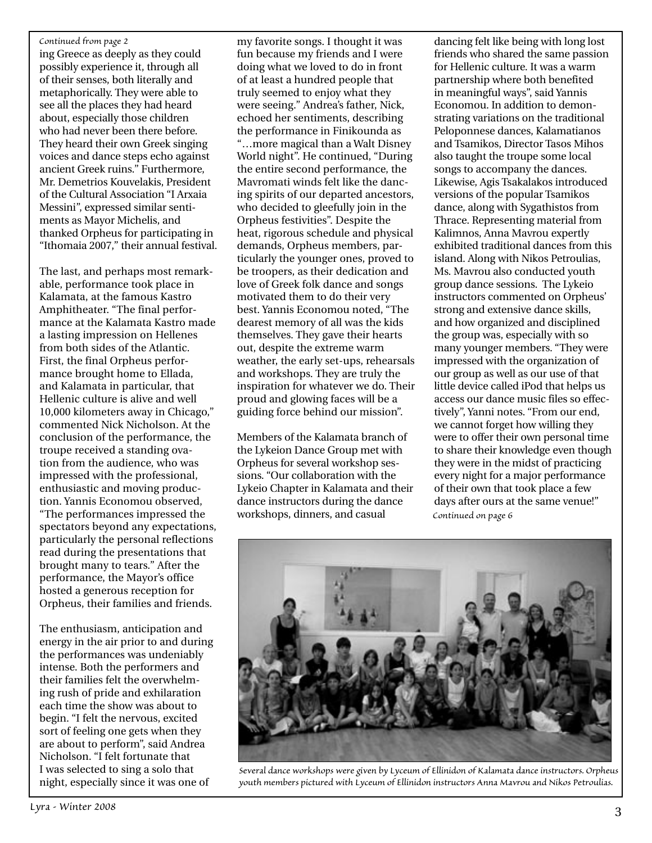#### *Continued from page 2*

ing Greece as deeply as they could possibly experience it, through all of their senses, both literally and metaphorically. They were able to see all the places they had heard about, especially those children who had never been there before. They heard their own Greek singing voices and dance steps echo against ancient Greek ruins." Furthermore, Mr. Demetrios Kouvelakis, President of the Cultural Association "I Arxaia Messini", expressed similar sentiments as Mayor Michelis, and thanked Orpheus for participating in "Ithomaia 2007," their annual festival.

The last, and perhaps most remarkable, performance took place in Kalamata, at the famous Kastro Amphitheater. "The final performance at the Kalamata Kastro made a lasting impression on Hellenes from both sides of the Atlantic. First, the final Orpheus performance brought home to Ellada, and Kalamata in particular, that Hellenic culture is alive and well 10,000 kilometers away in Chicago," commented Nick Nicholson. At the conclusion of the performance, the troupe received a standing ovation from the audience, who was impressed with the professional, enthusiastic and moving production. Yannis Economou observed, "The performances impressed the spectators beyond any expectations, particularly the personal reflections read during the presentations that brought many to tears." After the performance, the Mayor's office hosted a generous reception for Orpheus, their families and friends.

The enthusiasm, anticipation and energy in the air prior to and during the performances was undeniably intense. Both the performers and their families felt the overwhelming rush of pride and exhilaration each time the show was about to begin. "I felt the nervous, excited sort of feeling one gets when they are about to perform", said Andrea Nicholson. "I felt fortunate that I was selected to sing a solo that night, especially since it was one of

my favorite songs. I thought it was fun because my friends and I were doing what we loved to do in front of at least a hundred people that truly seemed to enjoy what they were seeing." Andrea's father, Nick, echoed her sentiments, describing the performance in Finikounda as "…more magical than a Walt Disney World night". He continued, "During the entire second performance, the Mavromati winds felt like the dancing spirits of our departed ancestors, who decided to gleefully join in the Orpheus festivities". Despite the heat, rigorous schedule and physical demands, Orpheus members, particularly the younger ones, proved to be troopers, as their dedication and love of Greek folk dance and songs motivated them to do their very best. Yannis Economou noted, "The dearest memory of all was the kids themselves. They gave their hearts out, despite the extreme warm weather, the early set-ups, rehearsals and workshops. They are truly the inspiration for whatever we do. Their proud and glowing faces will be a guiding force behind our mission".

Members of the Kalamata branch of the Lykeion Dance Group met with Orpheus for several workshop sessions. "Our collaboration with the Lykeio Chapter in Kalamata and their dance instructors during the dance workshops, dinners, and casual

dancing felt like being with long lost friends who shared the same passion for Hellenic culture. It was a warm partnership where both benefited in meaningful ways", said Yannis Economou. In addition to demonstrating variations on the traditional Peloponnese dances, Kalamatianos and Tsamikos, Director Tasos Mihos also taught the troupe some local songs to accompany the dances. Likewise, Agis Tsakalakos introduced versions of the popular Tsamikos dance, along with Sygathistos from Thrace. Representing material from Kalimnos, Anna Mavrou expertly exhibited traditional dances from this island. Along with Nikos Petroulias, Ms. Mavrou also conducted youth group dance sessions. The Lykeio instructors commented on Orpheus' strong and extensive dance skills, and how organized and disciplined the group was, especially with so many younger members. "They were impressed with the organization of our group as well as our use of that little device called iPod that helps us access our dance music files so effectively", Yanni notes. "From our end, we cannot forget how willing they were to offer their own personal time to share their knowledge even though they were in the midst of practicing every night for a major performance of their own that took place a few days after ours at the same venue!" *Continued on page 6*



*Several dance workshops were given by Lyceum of Ellinidon of Kalamata dance instructors. Orpheus youth members pictured with Lyceum of Ellinidon instructors Anna Mavrou and Nikos Petroulias.*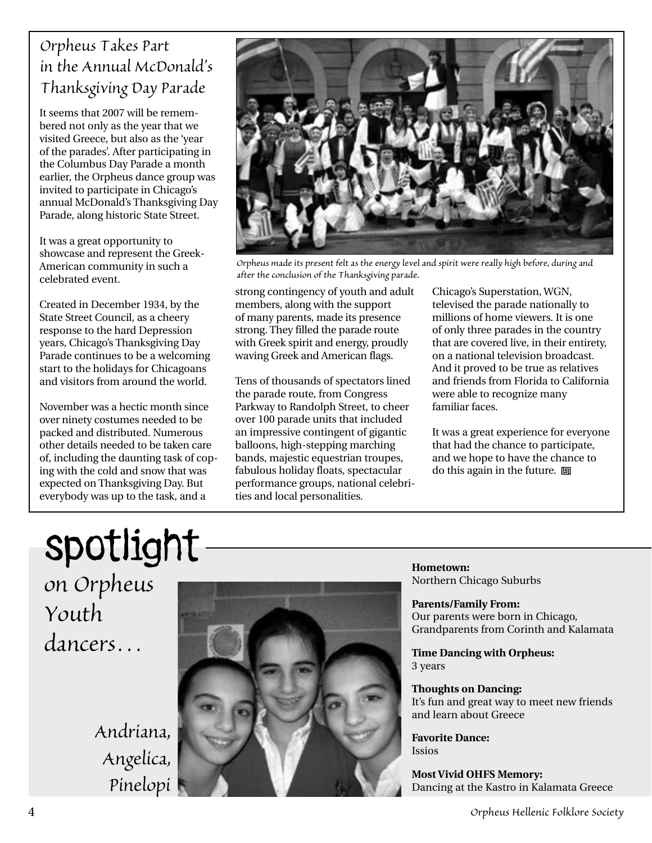### *Orpheus Takes Part in the Annual McDonald's Thanksgiving Day Parade*

It seems that 2007 will be remembered not only as the year that we visited Greece, but also as the 'year of the parades'. After participating in the Columbus Day Parade a month earlier, the Orpheus dance group was invited to participate in Chicago's annual McDonald's Thanksgiving Day Parade, along historic State Street.

It was a great opportunity to showcase and represent the Greek-American community in such a celebrated event.

Created in December 1934, by the State Street Council, as a cheery response to the hard Depression years, Chicago's Thanksgiving Day Parade continues to be a welcoming start to the holidays for Chicagoans and visitors from around the world.

November was a hectic month since over ninety costumes needed to be packed and distributed. Numerous other details needed to be taken care of, including the daunting task of coping with the cold and snow that was expected on Thanksgiving Day. But everybody was up to the task, and a



*Orpheus made its present felt as the energy level and spirit were really high before, during and after the conclusion of the Thanksgiving parade.*

strong contingency of youth and adult members, along with the support of many parents, made its presence strong. They filled the parade route with Greek spirit and energy, proudly waving Greek and American flags.

Tens of thousands of spectators lined the parade route, from Congress Parkway to Randolph Street, to cheer over 100 parade units that included an impressive contingent of gigantic balloons, high-stepping marching bands, majestic equestrian troupes, fabulous holiday floats, spectacular performance groups, national celebrities and local personalities.

Chicago's Superstation, WGN, televised the parade nationally to millions of home viewers. It is one of only three parades in the country that are covered live, in their entirety, on a national television broadcast. And it proved to be true as relatives and friends from Florida to California were able to recognize many familiar faces.

It was a great experience for everyone that had the chance to participate, and we hope to have the chance to do this again in the future.  $\Box$ 

# spotlight *on Orpheus Youth dancers…*

*Andriana, Angelica, Pinelopi*



**Hometown:**  Northern Chicago Suburbs

**Parents/Family From:**  Our parents were born in Chicago, Grandparents from Corinth and Kalamata

**Time Dancing with Orpheus:**  3 years

**Thoughts on Dancing:**  It's fun and great way to meet new friends and learn about Greece

**Favorite Dance:**  Issios

**Most Vivid OHFS Memory:**  Dancing at the Kastro in Kalamata Greece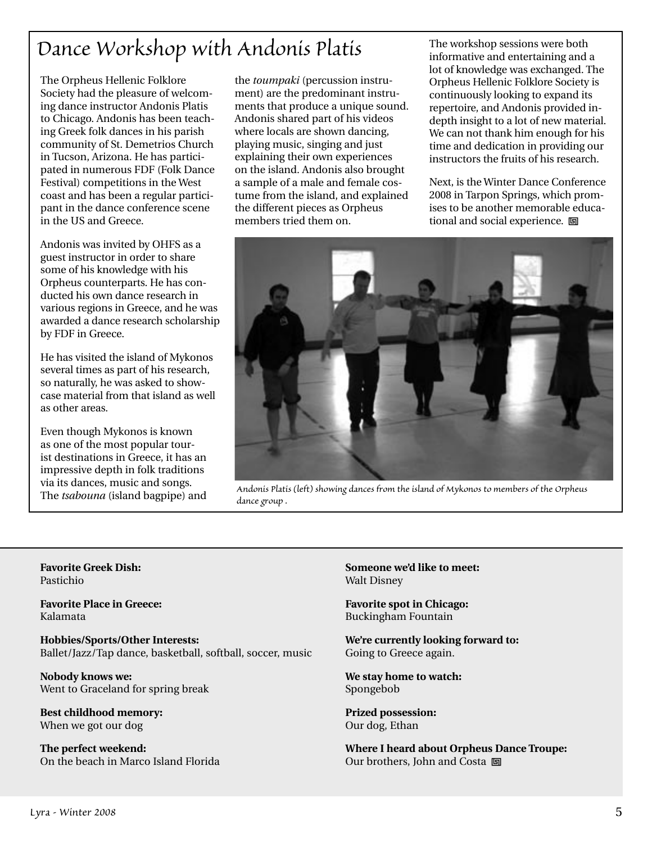### *Dance Workshop with Andonis Platis* The workshop sessions were both

The Orpheus Hellenic Folklore Society had the pleasure of welcoming dance instructor Andonis Platis to Chicago. Andonis has been teaching Greek folk dances in his parish community of St. Demetrios Church in Tucson, Arizona. He has participated in numerous FDF (Folk Dance Festival) competitions in the West coast and has been a regular participant in the dance conference scene in the US and Greece.

Andonis was invited by OHFS as a guest instructor in order to share some of his knowledge with his Orpheus counterparts. He has conducted his own dance research in various regions in Greece, and he was awarded a dance research scholarship by FDF in Greece.

He has visited the island of Mykonos several times as part of his research, so naturally, he was asked to showcase material from that island as well as other areas.

Even though Mykonos is known as one of the most popular tourist destinations in Greece, it has an impressive depth in folk traditions via its dances, music and songs. The *tsabouna* (island bagpipe) and the *toumpaki* (percussion instrument) are the predominant instruments that produce a unique sound. Andonis shared part of his videos where locals are shown dancing, playing music, singing and just explaining their own experiences on the island. Andonis also brought a sample of a male and female costume from the island, and explained the different pieces as Orpheus members tried them on.

informative and entertaining and a lot of knowledge was exchanged. The Orpheus Hellenic Folklore Society is continuously looking to expand its repertoire, and Andonis provided indepth insight to a lot of new material. We can not thank him enough for his time and dedication in providing our instructors the fruits of his research.

Next, is the Winter Dance Conference 2008 in Tarpon Springs, which promises to be another memorable educational and social experience.  $\Box$ 



*Andonis Platis (left) showing dances from the island of Mykonos to members of the Orpheus dance group .*

**Favorite Greek Dish:**  Pastichio

**Favorite Place in Greece:**  Kalamata

**Hobbies/Sports/Other Interests:**  Ballet/Jazz/Tap dance, basketball, softball, soccer, music

**Nobody knows we:** Went to Graceland for spring break

**Best childhood memory:**  When we got our dog

**The perfect weekend:**  On the beach in Marco Island Florida **Someone we'd like to meet:**  Walt Disney

**Favorite spot in Chicago:**  Buckingham Fountain

**We're currently looking forward to:**  Going to Greece again.

**We stay home to watch:**  Spongebob

**Prized possession:**  Our dog, Ethan

**Where I heard about Orpheus Dance Troupe:**  Our brothers, John and Costa 回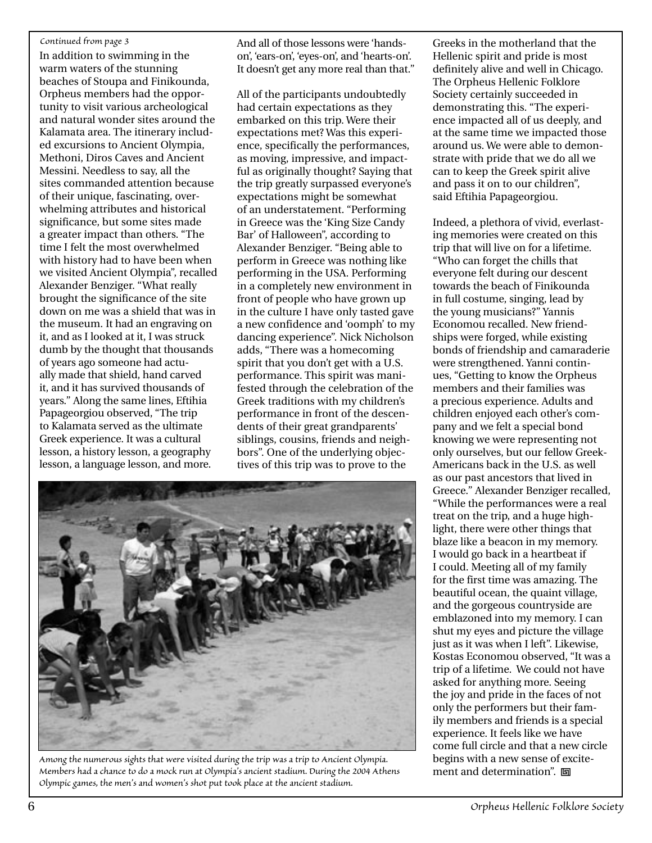#### *Continued from page 3*

In addition to swimming in the warm waters of the stunning beaches of Stoupa and Finikounda, Orpheus members had the opportunity to visit various archeological and natural wonder sites around the Kalamata area. The itinerary included excursions to Ancient Olympia, Methoni, Diros Caves and Ancient Messini. Needless to say, all the sites commanded attention because of their unique, fascinating, overwhelming attributes and historical significance, but some sites made a greater impact than others. "The time I felt the most overwhelmed with history had to have been when we visited Ancient Olympia", recalled Alexander Benziger. "What really brought the significance of the site down on me was a shield that was in the museum. It had an engraving on it, and as I looked at it, I was struck dumb by the thought that thousands of years ago someone had actually made that shield, hand carved it, and it has survived thousands of years." Along the same lines, Eftihia Papageorgiou observed, "The trip to Kalamata served as the ultimate Greek experience. It was a cultural lesson, a history lesson, a geography lesson, a language lesson, and more.

And all of those lessons were 'handson', 'ears-on', 'eyes-on', and 'hearts-on'. It doesn't get any more real than that."

All of the participants undoubtedly had certain expectations as they embarked on this trip. Were their expectations met? Was this experience, specifically the performances, as moving, impressive, and impactful as originally thought? Saying that the trip greatly surpassed everyone's expectations might be somewhat of an understatement. "Performing in Greece was the 'King Size Candy Bar' of Halloween", according to Alexander Benziger. "Being able to perform in Greece was nothing like performing in the USA. Performing in a completely new environment in front of people who have grown up in the culture I have only tasted gave a new confidence and 'oomph' to my dancing experience". Nick Nicholson adds, "There was a homecoming spirit that you don't get with a U.S. performance. This spirit was manifested through the celebration of the Greek traditions with my children's performance in front of the descendents of their great grandparents' siblings, cousins, friends and neighbors". One of the underlying objectives of this trip was to prove to the



*Among the numerous sights that were visited during the trip was a trip to Ancient Olympia. Members had a chance to do a mock run at Olympia's ancient stadium. During the 2004 Athens Olympic games, the men's and women's shot put took place at the ancient stadium.*

Greeks in the motherland that the Hellenic spirit and pride is most definitely alive and well in Chicago. The Orpheus Hellenic Folklore Society certainly succeeded in demonstrating this. "The experience impacted all of us deeply, and at the same time we impacted those around us. We were able to demonstrate with pride that we do all we can to keep the Greek spirit alive and pass it on to our children", said Eftihia Papageorgiou.

Indeed, a plethora of vivid, everlasting memories were created on this trip that will live on for a lifetime. "Who can forget the chills that everyone felt during our descent towards the beach of Finikounda in full costume, singing, lead by the young musicians?" Yannis Economou recalled. New friendships were forged, while existing bonds of friendship and camaraderie were strengthened. Yanni continues, "Getting to know the Orpheus members and their families was a precious experience. Adults and children enjoyed each other's company and we felt a special bond knowing we were representing not only ourselves, but our fellow Greek-Americans back in the U.S. as well as our past ancestors that lived in Greece." Alexander Benziger recalled, "While the performances were a real treat on the trip, and a huge highlight, there were other things that blaze like a beacon in my memory. I would go back in a heartbeat if I could. Meeting all of my family for the first time was amazing. The beautiful ocean, the quaint village, and the gorgeous countryside are emblazoned into my memory. I can shut my eyes and picture the village just as it was when I left". Likewise, Kostas Economou observed, "It was a trip of a lifetime. We could not have asked for anything more. Seeing the joy and pride in the faces of not only the performers but their family members and friends is a special experience. It feels like we have come full circle and that a new circle begins with a new sense of excitement and determination". 回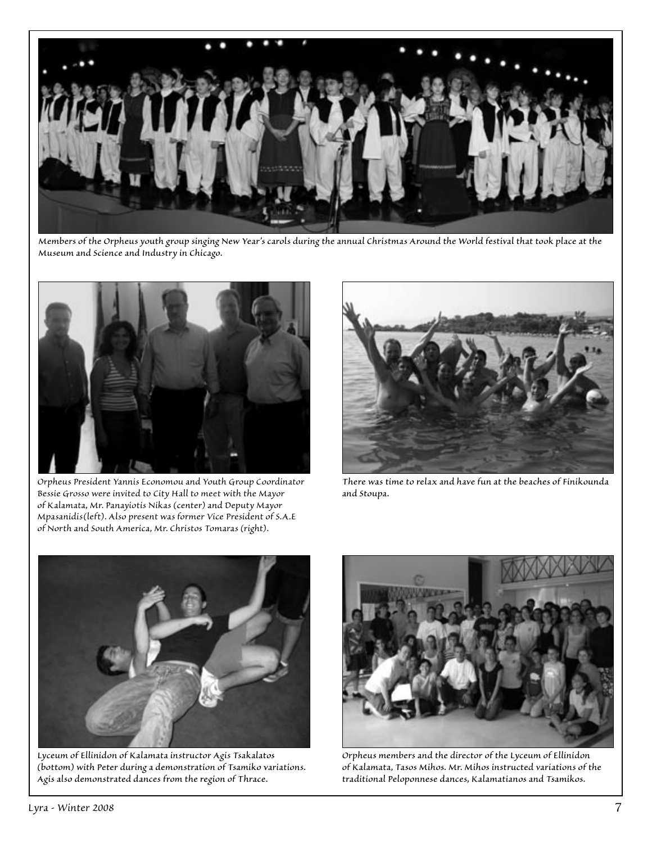

*Members of the Orpheus youth group singing New Year's carols during the annual Christmas Around the World festival that took place at the Museum and Science and Industry in Chicago.*



*Orpheus President Yannis Economou and Youth Group Coordinator Bessie Grosso were invited to City Hall to meet with the Mayor of Kalamata, Mr. Panayiotis Nikas (center) and Deputy Mayor Mpasanidis(left). Also present was former Vice President of S.A.E of North and South America, Mr. Christos Tomaras (right).*



*There was time to relax and have fun at the beaches of Finikounda and Stoupa.*



*Lyceum of Ellinidon of Kalamata instructor Agis Tsakalatos (bottom) with Peter during a demonstration of Tsamiko variations. Agis also demonstrated dances from the region of Thrace.* 



*Orpheus members and the director of the Lyceum of Ellinidon of Kalamata, Tasos Mihos. Mr. Mihos instructed variations of the traditional Peloponnese dances, Kalamatianos and Tsamikos.*